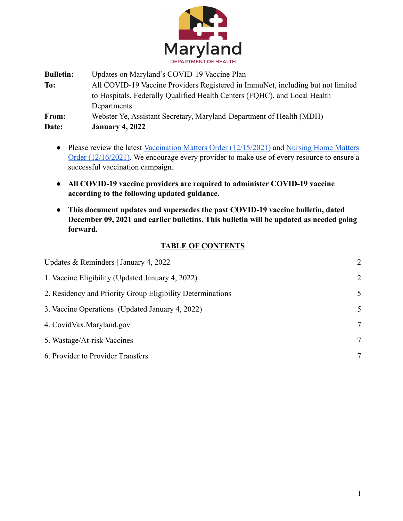

**Bulletin:** Updates on Maryland's COVID-19 Vaccine Plan **To:** All COVID-19 Vaccine Providers Registered in ImmuNet, including but not limited to Hospitals, Federally Qualified Health Centers (FQHC), and Local Health Departments **From:** Webster Ye, Assistant Secretary, Maryland Department of Health (MDH) **Date: January 4, 2022**

- **●** Please review the latest [Vaccination Matters Order](https://health.maryland.gov/phpa/Documents/2021.12.15.02%20-%20MDH%20Order%20-%20Amended%20Vaccination%20Matters%20Order.pdf) (12/15/2021) and [Nursing Home Matters](https://health.maryland.gov/phpa/Documents/2021.12.16.01%20-%20MDH%20Order%20-%20Amended%20Nursing%20Home%20Matters%20Order.pdf) [Order \(12/16/2021\)](https://health.maryland.gov/phpa/Documents/2021.12.16.01%20-%20MDH%20Order%20-%20Amended%20Nursing%20Home%20Matters%20Order.pdf). We encourage every provider to make use of every resource to ensure a successful vaccination campaign.
- **● All COVID-19 vaccine providers are required to administer COVID-19 vaccine according to the following updated guidance.**
- **● This document updates and supersedes the past COVID-19 vaccine bulletin, dated December 09, 2021 and earlier bulletins. This bulletin will be updated as needed going forward.**

# **TABLE OF CONTENTS**

| Updates & Reminders   January 4, 2022                      | 2 |
|------------------------------------------------------------|---|
| 1. Vaccine Eligibility (Updated January 4, 2022)           | 2 |
| 2. Residency and Priority Group Eligibility Determinations | 5 |
| 3. Vaccine Operations (Updated January 4, 2022)            | 5 |
| 4. CovidVax.Maryland.gov                                   | 7 |
| 5. Wastage/At-risk Vaccines                                | 7 |
| 6. Provider to Provider Transfers                          | 7 |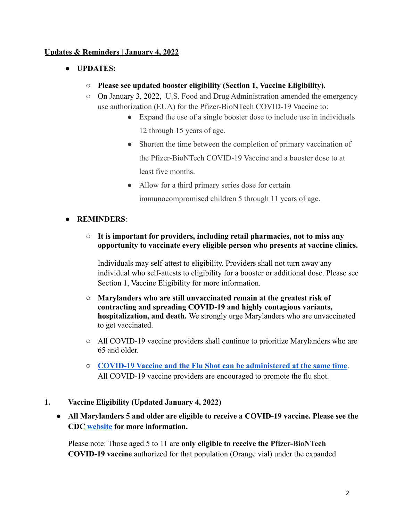## <span id="page-1-0"></span>**Updates & Reminders | January 4, 2022**

- **● UPDATES:**
	- **○ Please see updated booster eligibility (Section 1, Vaccine Eligibility).**
	- On January 3, 2022, U.S. Food and Drug Administration amended the emergency use authorization (EUA) for the Pfizer-BioNTech COVID-19 Vaccine to:
		- Expand the use of a single booster dose to include use in individuals 12 through 15 years of age.
		- Shorten the time between the completion of primary vaccination of the Pfizer-BioNTech COVID-19 Vaccine and a booster dose to at least five months.
		- Allow for a third primary series dose for certain immunocompromised children 5 through 11 years of age.
- **REMINDERS**:
	- **It is important for providers, including retail pharmacies, not to miss any opportunity to vaccinate every eligible person who presents at vaccine clinics.**

Individuals may self-attest to eligibility. Providers shall not turn away any individual who self-attests to eligibility for a booster or additional dose. Please see Section 1, Vaccine Eligibility for more information.

- **Marylanders who are still unvaccinated remain at the greatest risk of contracting and spreading COVID-19 and highly contagious variants, hospitalization, and death.** We strongly urge Marylanders who are unvaccinated to get vaccinated.
- $\circ$  All COVID-19 vaccine providers shall continue to prioritize Marylanders who are 65 and older.
- **[COVID-19 Vaccine and the Flu Shot can be administered at the same time](https://www.cdc.gov/vaccines/covid-19/clinical-considerations/covid-19-vaccines-us.html?CDC_AA_refVal=https%3A%2F%2Fwww.cdc.gov%2Fvaccines%2Fcovid-19%2Finfo-by-product%2Fclinical-considerations.html#Coadministration)**. All COVID-19 vaccine providers are encouraged to promote the flu shot.
- **1. Vaccine Eligibility (Updated January 4, 2022)**
	- **● All Marylanders 5 and older are eligible to receive a COVID-19 vaccine. Please see the CDC [website](https://www.cdc.gov/coronavirus/2019-ncov/vaccines/recommendations/children-teens.html) for more information.**

Please note: Those aged 5 to 11 are **only eligible to receive the Pfizer-BioNTech COVID-19 vaccine** authorized for that population (Orange vial) under the expanded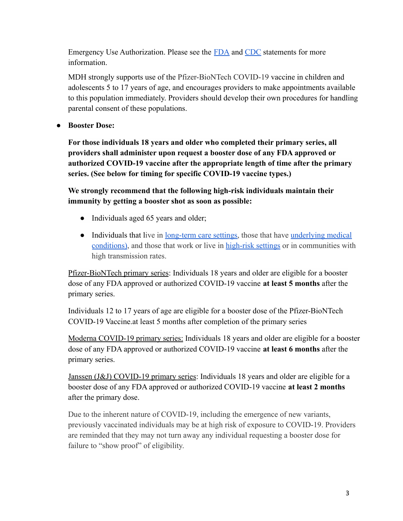Emergency Use Authorization. Please see the [FDA](https://www.fda.gov/news-events/press-announcements/fda-authorizes-pfizer-biontech-covid-19-vaccine-emergency-use-children-5-through-11-years-age) and [CDC](https://www.cdc.gov/media/releases/2021/s1102-PediatricCOVID-19Vaccine.html) statements for more information.

MDH strongly supports use of the Pfizer-BioNTech COVID-19 vaccine in children and adolescents 5 to 17 years of age, and encourages providers to make appointments available to this population immediately. Providers should develop their own procedures for handling parental consent of these populations.

**● Booster Dose:**

**For those individuals 18 years and older who completed their primary series, all providers shall administer upon request a booster dose of any FDA approved or authorized COVID-19 vaccine after the appropriate length of time after the primary series. (See below for timing for specific COVID-19 vaccine types.)**

**We strongly recommend that the following high-risk individuals maintain their immunity by getting a booster shot as soon as possible:**

- Individuals aged 65 years and older;
- Individuals that live in <u>long-term care settings</u>, those that have <u>[underlying medical](https://www.cdc.gov/coronavirus/2019-ncov/need-extra-precautions/people-with-medical-conditions.html)</u> [conditions\)](https://www.cdc.gov/coronavirus/2019-ncov/need-extra-precautions/people-with-medical-conditions.html), and those that work or live in [high-risk](https://www.cdc.gov/coronavirus/2019-ncov/vaccines/booster-shot.html#HighRisk) settings or in communities with high transmission rates.

Pfizer-BioNTech primary series: Individuals 18 years and older are eligible for a booster dose of any FDA approved or authorized COVID-19 vaccine **at least 5 months** after the primary series.

Individuals 12 to 17 years of age are eligible for a booster dose of the Pfizer-BioNTech COVID-19 Vaccine.at least 5 months after completion of the primary series

Moderna COVID-19 primary series: Individuals 18 years and older are eligible for a booster dose of any FDA approved or authorized COVID-19 vaccine **at least 6 months** after the primary series.

Janssen (J&J) COVID-19 primary series: Individuals 18 years and older are eligible for a booster dose of any FDA approved or authorized COVID-19 vaccine **at least 2 months** after the primary dose.

Due to the inherent nature of COVID-19, including the emergence of new variants, previously vaccinated individuals may be at high risk of exposure to COVID-19. Providers are reminded that they may not turn away any individual requesting a booster dose for failure to "show proof" of eligibility.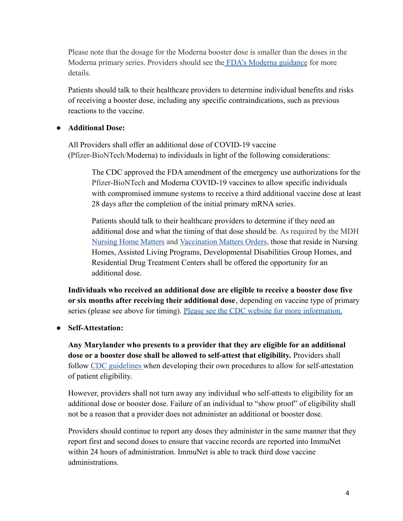Please note that the dosage for the Moderna booster dose is smaller than the doses in the Moderna primary series. Providers should see the [FDA's Moderna guidance](https://www.fda.gov/emergency-preparedness-and-response/coronavirus-disease-2019-covid-19/moderna-covid-19-vaccine) for more details.

Patients should talk to their healthcare providers to determine individual benefits and risks of receiving a booster dose, including any specific contraindications, such as previous reactions to the vaccine.

#### **● Additional Dose:**

All Providers shall offer an additional dose of COVID-19 vaccine (Pfizer-BioNTech/Moderna) to individuals in light of the following considerations:

The CDC approved the FDA amendment of the emergency use authorizations for the Pfizer-BioNTech and Moderna COVID-19 vaccines to allow specific individuals with compromised immune systems to receive a third additional vaccine dose at least 28 days after the completion of the initial primary mRNA series.

Patients should talk to their healthcare providers to determine if they need an additional dose and what the timing of that dose should be. As required by the MDH [Nursing Home Matters](https://health.maryland.gov/phpa/Documents/2021.09.08.02%20MDH%20Order%20-%20Amended%20Nursing%20Home%20Matters%20Order.pdf) and [Vaccination Matters Orders](https://health.maryland.gov/phpa/Documents/2021.09.08.01%20-%20MDH%20Order%20-%20Amended%20Vaccination%20Matters%20Order.pdf), those that reside in Nursing Homes, Assisted Living Programs, Developmental Disabilities Group Homes, and Residential Drug Treatment Centers shall be offered the opportunity for an additional dose.

**Individuals who received an additional dose are eligible to receive a booster dose five or six months after receiving their additional dose**, depending on vaccine type of primary series (please see above for timing). Please see the [CDC website for more information.](https://www.cdc.gov/coronavirus/2019-ncov/vaccines/recommendations/immuno.html)

**● Self-Attestation:**

**Any Marylander who presents to a provider that they are eligible for an additional dose or a booster dose shall be allowed to self-attest that eligibility.** Providers shall follow [CDC guidelines](https://www.cdc.gov/coronavirus/2019-ncov/vaccines/recommendations/immuno.html) when developing their own procedures to allow for self-attestation of patient eligibility.

However, providers shall not turn away any individual who self-attests to eligibility for an additional dose or booster dose. Failure of an individual to "show proof" of eligibility shall not be a reason that a provider does not administer an additional or booster dose.

Providers should continue to report any doses they administer in the same manner that they report first and second doses to ensure that vaccine records are reported into ImmuNet within 24 hours of administration. ImmuNet is able to track third dose vaccine administrations.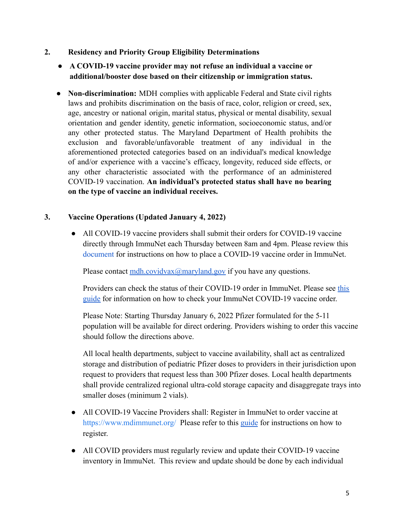- <span id="page-4-0"></span>**2. Residency and Priority Group Eligibility Determinations**
	- **● A COVID-19 vaccine provider may not refuse an individual a vaccine or additional/booster dose based on their citizenship or immigration status.**
	- **Non-discrimination:** MDH complies with applicable Federal and State civil rights laws and prohibits discrimination on the basis of race, color, religion or creed, sex, age, ancestry or national origin, marital status, physical or mental disability, sexual orientation and gender identity, genetic information, socioeconomic status, and/or any other protected status. The Maryland Department of Health prohibits the exclusion and favorable/unfavorable treatment of any individual in the aforementioned protected categories based on an individual's medical knowledge of and/or experience with a vaccine's efficacy, longevity, reduced side effects, or any other characteristic associated with the performance of an administered COVID-19 vaccination. **An individual's protected status shall have no bearing on the type of vaccine an individual receives.**

## <span id="page-4-1"></span>**3. Vaccine Operations (Updated January 4, 2022)**

• All COVID-19 vaccine providers shall submit their orders for COVID-19 vaccine directly through ImmuNet each Thursday between 8am and 4pm. Please review this [document](https://health.maryland.gov/phpa/OIDEOR/IMMUN/Shared%20Documents/ImmuNet_COVID19-Vaccine-Ordering-Guide.pdf) for instructions on how to place a COVID-19 vaccine order in ImmuNet.

Please contact  $\underline{\text{m}}\text{dh}.\text{covidvax}(\partial \text{maryland.gov})$  if you have any questions.

Providers can check the status of their COVID-19 order in ImmuNet. Please see [this](https://phpa.health.maryland.gov/OIDEOR/IMMUN/Shared%20Documents/ImmuNet_COVID19-Vaccine-Order-Status-Guide.pdf) [guide](https://phpa.health.maryland.gov/OIDEOR/IMMUN/Shared%20Documents/ImmuNet_COVID19-Vaccine-Order-Status-Guide.pdf) for information on how to check your ImmuNet COVID-19 vaccine order.

Please Note: Starting Thursday January 6, 2022 Pfizer formulated for the 5-11 population will be available for direct ordering. Providers wishing to order this vaccine should follow the directions above.

All local health departments, subject to vaccine availability, shall act as centralized storage and distribution of pediatric Pfizer doses to providers in their jurisdiction upon request to providers that request less than 300 Pfizer doses. Local health departments shall provide centralized regional ultra-cold storage capacity and disaggregate trays into smaller doses (minimum 2 vials).

- All COVID-19 Vaccine Providers shall: Register in ImmuNet to order vaccine at <https://www.mdimmunet.org/> Please refer to this [guide](https://health.maryland.gov/phpa/OIDEOR/IMMUN/Shared%20Documents/ImmuNet_COVID19-Vaccine-Registration-Guide.pdf) for instructions on how to register.
- All COVID providers must regularly review and update their COVID-19 vaccine inventory in ImmuNet. This review and update should be done by each individual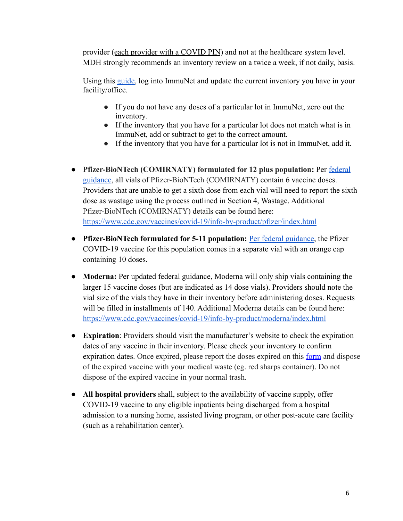provider (each provider with a COVID PIN) and not at the healthcare system level. MDH strongly recommends an inventory review on a twice a week, if not daily, basis.

Using this [guide,](https://health.maryland.gov/phpa/OIDEOR/IMMUN/Shared%20Documents/ImmuNet_COVID19-Vaccine-Manage-Inventory-Guide.pdf) log into ImmuNet and update the current inventory you have in your facility/office.

- If you do not have any doses of a particular lot in ImmuNet, zero out the inventory.
- If the inventory that you have for a particular lot does not match what is in ImmuNet, add or subtract to get to the correct amount.
- If the inventory that you have for a particular lot is not in ImmuNet, add it.
- **Pfizer-BioNTech (COMIRNATY) formulated for 12 plus population:** Per [federal](https://www.fda.gov/emergency-preparedness-and-response/coronavirus-disease-2019-covid-19/comirnaty-and-pfizer-biontech-covid-19-vaccine#additional) [guidance](https://www.fda.gov/emergency-preparedness-and-response/coronavirus-disease-2019-covid-19/comirnaty-and-pfizer-biontech-covid-19-vaccine#additional), all vials of Pfizer-BioNTech (COMIRNATY) contain 6 vaccine doses. Providers that are unable to get a sixth dose from each vial will need to report the sixth dose as wastage using the process outlined in Section 4, Wastage. Additional Pfizer-BioNTech (COMIRNATY) details can be found here: <https://www.cdc.gov/vaccines/covid-19/info-by-product/pfizer/index.html>
- **• Pfizer-BioNTech formulated for 5-11 population:** Per [federal guidance](https://www.fda.gov/media/153714/download), the Pfizer COVID-19 vaccine for this population comes in a separate vial with an orange cap containing 10 doses.
- **● Moderna:** Per updated federal guidance, Moderna will only ship vials containing the larger 15 vaccine doses (but are indicated as 14 dose vials). Providers should note the vial size of the vials they have in their inventory before administering doses. Requests will be filled in installments of 140. Additional Moderna details can be found here: <https://www.cdc.gov/vaccines/covid-19/info-by-product/moderna/index.html>
- **● Expiration**: Providers should visit the manufacturer's website to check the expiration dates of any vaccine in their inventory. Please check your inventory to confirm expiration dates. Once expired, please report the doses expired on this [form](https://r20.rs6.net/tn.jsp?f=001PHF1iKEz6mZzvKfBUkCmo43xNlMHUnSKGp-DdnZ2VLWblN5lwHQY2ZOJGXDvrs5lAYaiQRiB3dTn7BTaXEktm7eGpu7lIzM9i7Tw-X-xxqQdCu-_wjXTNav4fjecj2Rw2sdLRX3GUoXLt8yVCq-B7LuxaraSC3tQGjDdu5tlW8AAmmOaAwdL6BxgiVZcb81XM_Q_G1AqgXG9Gkro8CFSdMEKKnmO-2Bp&c=Jfct-gZ7Wu2uEgCFDCKxTs5Anon8hqXYTX1VYoseVXIrXLv8ZC77Bg==&ch=xYUUVPRPuidgr01u5sEdiqJT-0mUvRgxMNmu0ot9hGRFWqzs1-ehew==) and dispose of the expired vaccine with your medical waste (eg. red sharps container). Do not dispose of the expired vaccine in your normal trash.
- **All hospital providers** shall, subject to the availability of vaccine supply, offer COVID-19 vaccine to any eligible inpatients being discharged from a hospital admission to a nursing home, assisted living program, or other post-acute care facility (such as a rehabilitation center).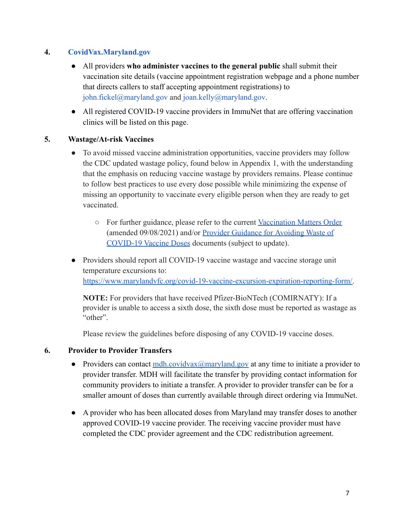## <span id="page-6-0"></span>**4. [CovidVax.Maryland.gov](https://coronavirus.maryland.gov/pages/vaccine)**

- All providers **who administer vaccines to the general public** shall submit their vaccination site details (vaccine appointment registration webpage and a phone number that directs callers to staff accepting appointment registrations) to john.fickel@maryland.gov and joan.kelly@maryland.gov.
- All registered COVID-19 vaccine providers in ImmuNet that are offering vaccination clinics will be listed on this page.

#### <span id="page-6-1"></span>**5. Wastage/At-risk Vaccines**

- To avoid missed vaccine administration opportunities, vaccine providers may follow the CDC updated wastage policy, found below in Appendix 1, with the understanding that the emphasis on reducing vaccine wastage by providers remains. Please continue to follow best practices to use every dose possible while minimizing the expense of missing an opportunity to vaccinate every eligible person when they are ready to get vaccinated.
	- For further guidance, please refer to the current [Vaccination Matters Order](https://health.maryland.gov/phpa/Documents/2021.09.08.01%20-%20MDH%20Order%20-%20Amended%20Vaccination%20Matters%20Order.pdf) (amended 09/08/2021) and/or [Provider Guidance for](https://phpa.health.maryland.gov/Documents/MDH%20COVID-19%20Vaccine%20Anti-Wastage%20Guidance%20-%20April%201%202021.pdf) Avoiding Waste of [COVID-19 Vaccine Doses](https://phpa.health.maryland.gov/Documents/MDH%20COVID-19%20Vaccine%20Anti-Wastage%20Guidance%20-%20April%201%202021.pdf) documents (subject to update).
- Providers should report all COVID-19 vaccine wastage and vaccine storage unit temperature excursions to: [https://www.marylandvfc.org/covid-19-vaccine-excursion-expiration-reporting-form/.](https://www.marylandvfc.org/covid-19-vaccine-excursion-expiration-reporting-form/)

**NOTE:** For providers that have received Pfizer-BioNTech (COMIRNATY): If a provider is unable to access a sixth dose, the sixth dose must be reported as wastage as "other".

Please review the guidelines before disposing of any COVID-19 vaccine doses.

## <span id="page-6-2"></span>**6. Provider to Provider Transfers**

- Providers can contact  $\underline{\text{mdh}}$ .covidvax $\textcircled{a}$  maryland.gov at any time to initiate a provider to provider transfer. MDH will facilitate the transfer by providing contact information for community providers to initiate a transfer. A provider to provider transfer can be for a smaller amount of doses than currently available through direct ordering via ImmuNet.
- A provider who has been allocated doses from Maryland may transfer doses to another approved COVID-19 vaccine provider. The receiving vaccine provider must have completed the CDC provider agreement and the CDC redistribution agreement.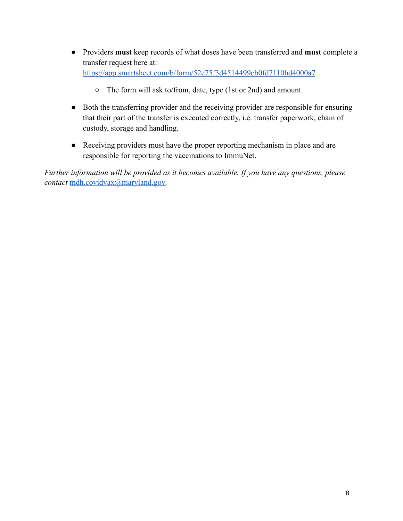- Providers **must** keep records of what doses have been transferred and **must** complete a transfer request here at: <https://app.smartsheet.com/b/form/52e75f3d4514499cb0fd7110bd4000a7>
	- The form will ask to/from, date, type (1st or 2nd) and amount.
- Both the transferring provider and the receiving provider are responsible for ensuring that their part of the transfer is executed correctly, i.e. transfer paperwork, chain of custody, storage and handling.
- Receiving providers must have the proper reporting mechanism in place and are responsible for reporting the vaccinations to ImmuNet.

*Further information will be provided as it becomes available. If you have any questions, please contact* [mdh.covidvax@maryland.gov](mailto:mdh.covidvax@maryland.gov)*.*